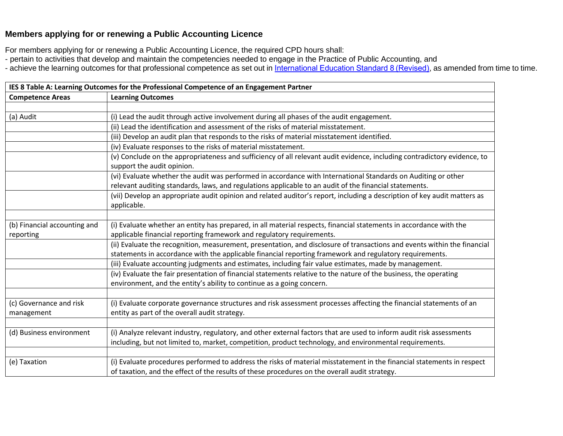## **Members applying for or renewing a Public Accounting Licence**

For members applying for or renewing a Public Accounting Licence, the required CPD hours shall:

- pertain to activities that develop and maintain the competencies needed to engage in the Practice of Public Accounting, and
- achieve the learning outcomes for that professional competence as set out in International Education Standard 8 (Revised), as amended from time to time.

| IES 8 Table A: Learning Outcomes for the Professional Competence of an Engagement Partner |                                                                                                                                                                                                                         |  |
|-------------------------------------------------------------------------------------------|-------------------------------------------------------------------------------------------------------------------------------------------------------------------------------------------------------------------------|--|
| <b>Competence Areas</b>                                                                   | <b>Learning Outcomes</b>                                                                                                                                                                                                |  |
|                                                                                           |                                                                                                                                                                                                                         |  |
| (a) Audit                                                                                 | (i) Lead the audit through active involvement during all phases of the audit engagement.                                                                                                                                |  |
|                                                                                           | (ii) Lead the identification and assessment of the risks of material misstatement.                                                                                                                                      |  |
|                                                                                           | (iii) Develop an audit plan that responds to the risks of material misstatement identified.                                                                                                                             |  |
|                                                                                           | (iv) Evaluate responses to the risks of material misstatement.                                                                                                                                                          |  |
|                                                                                           | (v) Conclude on the appropriateness and sufficiency of all relevant audit evidence, including contradictory evidence, to<br>support the audit opinion.                                                                  |  |
|                                                                                           | (vi) Evaluate whether the audit was performed in accordance with International Standards on Auditing or other                                                                                                           |  |
|                                                                                           | relevant auditing standards, laws, and regulations applicable to an audit of the financial statements.                                                                                                                  |  |
|                                                                                           | (vii) Develop an appropriate audit opinion and related auditor's report, including a description of key audit matters as<br>applicable.                                                                                 |  |
|                                                                                           |                                                                                                                                                                                                                         |  |
| (b) Financial accounting and                                                              | (i) Evaluate whether an entity has prepared, in all material respects, financial statements in accordance with the                                                                                                      |  |
| reporting                                                                                 | applicable financial reporting framework and regulatory requirements.                                                                                                                                                   |  |
|                                                                                           | (ii) Evaluate the recognition, measurement, presentation, and disclosure of transactions and events within the financial                                                                                                |  |
|                                                                                           | statements in accordance with the applicable financial reporting framework and regulatory requirements.                                                                                                                 |  |
|                                                                                           | (iii) Evaluate accounting judgments and estimates, including fair value estimates, made by management.                                                                                                                  |  |
|                                                                                           | (iv) Evaluate the fair presentation of financial statements relative to the nature of the business, the operating<br>environment, and the entity's ability to continue as a going concern.                              |  |
|                                                                                           |                                                                                                                                                                                                                         |  |
| (c) Governance and risk<br>management                                                     | (i) Evaluate corporate governance structures and risk assessment processes affecting the financial statements of an<br>entity as part of the overall audit strategy.                                                    |  |
|                                                                                           |                                                                                                                                                                                                                         |  |
| (d) Business environment                                                                  | (i) Analyze relevant industry, regulatory, and other external factors that are used to inform audit risk assessments                                                                                                    |  |
|                                                                                           | including, but not limited to, market, competition, product technology, and environmental requirements.                                                                                                                 |  |
|                                                                                           |                                                                                                                                                                                                                         |  |
| (e) Taxation                                                                              | (i) Evaluate procedures performed to address the risks of material misstatement in the financial statements in respect<br>of taxation, and the effect of the results of these procedures on the overall audit strategy. |  |
|                                                                                           |                                                                                                                                                                                                                         |  |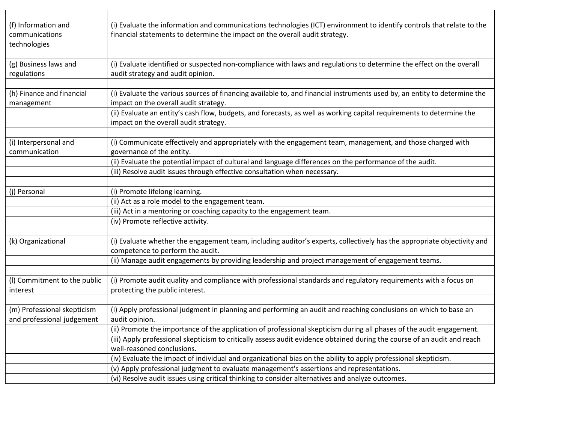| (f) Information and<br>communications<br>technologies     | (i) Evaluate the information and communications technologies (ICT) environment to identify controls that relate to the<br>financial statements to determine the impact on the overall audit strategy. |
|-----------------------------------------------------------|-------------------------------------------------------------------------------------------------------------------------------------------------------------------------------------------------------|
| (g) Business laws and<br>regulations                      | (i) Evaluate identified or suspected non-compliance with laws and regulations to determine the effect on the overall<br>audit strategy and audit opinion.                                             |
| (h) Finance and financial<br>management                   | (i) Evaluate the various sources of financing available to, and financial instruments used by, an entity to determine the<br>impact on the overall audit strategy.                                    |
|                                                           | (ii) Evaluate an entity's cash flow, budgets, and forecasts, as well as working capital requirements to determine the<br>impact on the overall audit strategy.                                        |
| (i) Interpersonal and<br>communication                    | (i) Communicate effectively and appropriately with the engagement team, management, and those charged with<br>governance of the entity.                                                               |
|                                                           | (ii) Evaluate the potential impact of cultural and language differences on the performance of the audit.                                                                                              |
|                                                           | (iii) Resolve audit issues through effective consultation when necessary.                                                                                                                             |
| (j) Personal                                              | (i) Promote lifelong learning.                                                                                                                                                                        |
|                                                           | (ii) Act as a role model to the engagement team.                                                                                                                                                      |
|                                                           | (iii) Act in a mentoring or coaching capacity to the engagement team.                                                                                                                                 |
|                                                           | (iv) Promote reflective activity.                                                                                                                                                                     |
| (k) Organizational                                        | (i) Evaluate whether the engagement team, including auditor's experts, collectively has the appropriate objectivity and<br>competence to perform the audit.                                           |
|                                                           | (ii) Manage audit engagements by providing leadership and project management of engagement teams.                                                                                                     |
| (I) Commitment to the public<br>interest                  | (i) Promote audit quality and compliance with professional standards and regulatory requirements with a focus on<br>protecting the public interest.                                                   |
| (m) Professional skepticism<br>and professional judgement | (i) Apply professional judgment in planning and performing an audit and reaching conclusions on which to base an<br>audit opinion.                                                                    |
|                                                           | (ii) Promote the importance of the application of professional skepticism during all phases of the audit engagement.                                                                                  |
|                                                           | (iii) Apply professional skepticism to critically assess audit evidence obtained during the course of an audit and reach<br>well-reasoned conclusions.                                                |
|                                                           | (iv) Evaluate the impact of individual and organizational bias on the ability to apply professional skepticism.                                                                                       |
|                                                           | (v) Apply professional judgment to evaluate management's assertions and representations.                                                                                                              |
|                                                           | (vi) Resolve audit issues using critical thinking to consider alternatives and analyze outcomes.                                                                                                      |